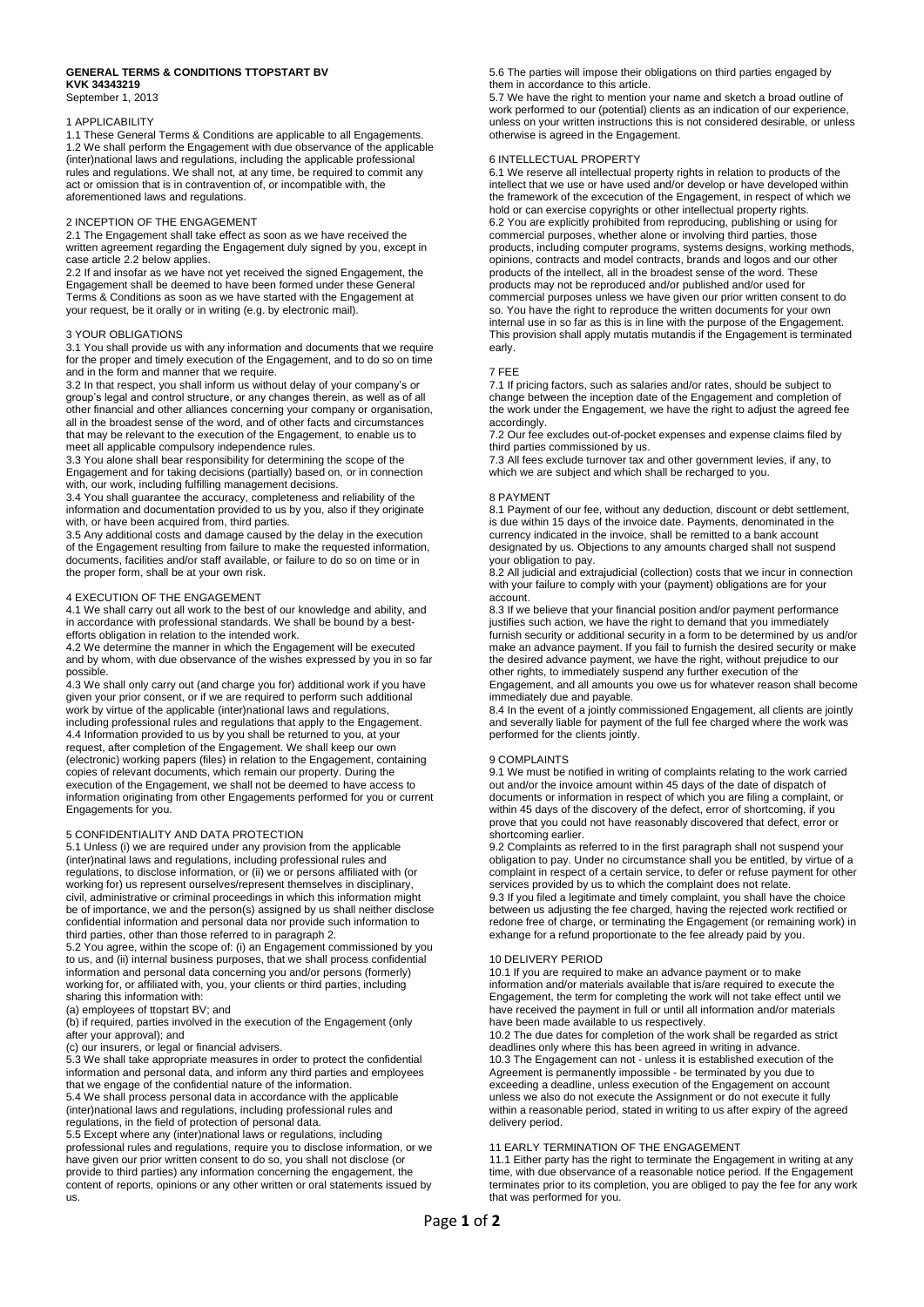#### **GENERAL TERMS & CONDITIONS TTOPSTART BV KVK 34343219**

September 1, 2013

## 1 APPLICABILITY

1.1 These General Terms & Conditions are applicable to all Engagements. 1.2 We shall perform the Engagement with due observance of the applicable (inter)national laws and regulations, including the applicable professional rules and regulations. We shall not, at any time, be required to commit any act or omission that is in contravention of, or incompatible with, the aforementioned laws and regulations.

## 2 INCEPTION OF THE ENGAGEMENT

2.1 The Engagement shall take effect as soon as we have received the written agreement regarding the Engagement duly signed by you, except in case article 2.2 below applies.

2.2 If and insofar as we have not yet received the signed Engagement, the Engagement shall be deemed to have been formed under these General Terms & Conditions as soon as we have started with the Engagement at your request, be it orally or in writing (e.g. by electronic mail).

## 3 YOUR OBLIGATIONS

3.1 You shall provide us with any information and documents that we require for the proper and timely execution of the Engagement, and to do so on time and in the form and manner that we require.

3.2 In that respect, you shall inform us without delay of your company's or group's legal and control structure, or any changes therein, as well as of all other financial and other alliances concerning your company or organisation, all in the broadest sense of the word, and of other facts and circumstances that may be relevant to the execution of the Engagement, to enable us to meet all applicable compulsory independence rules.

3.3 You alone shall bear responsibility for determining the scope of the Engagement and for taking decisions (partially) based on, or in connection with, our work, including fulfilling management decisions.

3.4 You shall guarantee the accuracy, completeness and reliability of the information and documentation provided to us by you, also if they originate with, or have been acquired from, third parties.

3.5 Any additional costs and damage caused by the delay in the execution of the Engagement resulting from failure to make the requested information, documents, facilities and/or staff available, or failure to do so on time or in the proper form, shall be at your own risk.

### 4 EXECUTION OF THE ENGAGEMENT

4.1 We shall carry out all work to the best of our knowledge and ability, and in accordance with professional standards. We shall be bound by a bestefforts obligation in relation to the intended work.

4.2 We determine the manner in which the Engagement will be executed and by whom, with due observance of the wishes expressed by you in so far possible.

4.3 We shall only carry out (and charge you for) additional work if you have given your prior consent, or if we are required to perform such additional work by virtue of the applicable (inter)national laws and regulations, including professional rules and regulations that apply to the Engagement. 4.4 Information provided to us by you shall be returned to you, at your request, after completion of the Engagement. We shall keep our own (electronic) working papers (files) in relation to the Engagement, containing copies of relevant documents, which remain our property. During the execution of the Engagement, we shall not be deemed to have access to information originating from other Engagements performed for you or current Engagements for you.

## 5 CONFIDENTIALITY AND DATA PROTECTION

5.1 Unless (i) we are required under any provision from the applicable (inter)natinal laws and regulations, including professional rules and regulations, to disclose information, or (ii) we or persons affiliated with (or working for) us represent ourselves/represent themselves in disciplinary, civil, administrative or criminal proceedings in which this information might be of importance, we and the person(s) assigned by us shall neither disclose confidential information and personal data nor provide such information to third parties, other than those referred to in paragraph 2.

5.2 You agree, within the scope of: (i) an Engagement commissioned by you to us, and (ii) internal business purposes, that we shall process confidential information and personal data concerning you and/or persons (formerly) working for, or affiliated with, you, your clients or third parties, including sharing this information with:

(a) employees of ttopstart BV; and

(b) if required, parties involved in the execution of the Engagement (only after your approval); and

(c) our insurers, or legal or financial advisers.

5.3 We shall take appropriate measures in order to protect the confidential information and personal data, and inform any third parties and employees that we engage of the confidential nature of the information. 5.4 We shall process personal data in accordance with the applicable (inter)national laws and regulations, including professional rules and

regulations, in the field of protection of personal data.

5.5 Except where any (inter)national laws or regulations, including professional rules and regulations, require you to disclose information, or we have given our prior written consent to do so, you shall not disclose (or provide to third parties) any information concerning the engagement, the content of reports, opinions or any other written or oral statements issued by us.

5.6 The parties will impose their obligations on third parties engaged by them in accordance to this article.

5.7 We have the right to mention your name and sketch a broad outline of work performed to our (potential) clients as an indication of our experience, unless on your written instructions this is not considered desirable, or unless otherwise is agreed in the Engagement.

# 6 INTELLECTUAL PROPERTY

6.1 We reserve all intellectual property rights in relation to products of the intellect that we use or have used and/or develop or have developed within the framework of the excecution of the Engagement, in respect of which we hold or can exercise copyrights or other intellectual property rights. 6.2 You are explicitly prohibited from reproducing, publishing or using for commercial purposes, whether alone or involving third parties, those products, including computer programs, systems designs, working methods, opinions, contracts and model contracts, brands and logos and our other products of the intellect, all in the broadest sense of the word. These products may not be reproduced and/or published and/or used for commercial purposes unless we have given our prior written consent to do so. You have the right to reproduce the written documents for your own internal use in so far as this is in line with the purpose of the Engagement. This provision shall apply mutatis mutandis if the Engagement is terminated early

### 7 FEE

7.1 If pricing factors, such as salaries and/or rates, should be subject to change between the inception date of the Engagement and completion of the work under the Engagement, we have the right to adjust the agreed fee accordingly.

7.2 Our fee excludes out-of-pocket expenses and expense claims filed by third parties commissioned by us.

7.3 All fees exclude turnover tax and other government levies, if any, to which we are subject and which shall be recharged to you.

### 8 PAYMENT

8.1 Payment of our fee, without any deduction, discount or debt settlement, is due within 15 days of the invoice date. Payments, denominated in the currency indicated in the invoice, shall be remitted to a bank account designated by us. Objections to any amounts charged shall not suspend your obligation to pay.

8.2 All judicial and extrajudicial (collection) costs that we incur in connection with your failure to comply with your (payment) obligations are for your account.

8.3 If we believe that your financial position and/or payment performance justifies such action, we have the right to demand that you immediately furnish security or additional security in a form to be determined by us and/or make an advance payment. If you fail to furnish the desired security or make the desired advance payment, we have the right, without prejudice to our other rights, to immediately suspend any further execution of the Engagement, and all amounts you owe us for whatever reason shall become immediately due and payable.

8.4 In the event of a jointly commissioned Engagement, all clients are jointly and severally liable for payment of the full fee charged where the work was performed for the clients jointly.

# 9 COMPLAINTS

9.1 We must be notified in writing of complaints relating to the work carried out and/or the invoice amount within 45 days of the date of dispatch of documents or information in respect of which you are filing a complaint, or within 45 days of the discovery of the defect, error of shortcoming, if you prove that you could not have reasonably discovered that defect, error or shortcoming earlier.

9.2 Complaints as referred to in the first paragraph shall not suspend your obligation to pay. Under no circumstance shall you be entitled, by virtue of a complaint in respect of a certain service, to defer or refuse payment for other services provided by us to which the complaint does not relate. 9.3 If you filed a legitimate and timely complaint, you shall have the choice between us adjusting the fee charged, having the rejected work rectified or redone free of charge, or terminating the Engagement (or remaining work) in exhange for a refund proportionate to the fee already paid by you.

## 10 DELIVERY PERIOD

10.1 If you are required to make an advance payment or to make information and/or materials available that is/are required to execute the Engagement, the term for completing the work will not take effect until we have received the payment in full or until all information and/or materials have been made available to us respectively.

10.2 The due dates for completion of the work shall be regarded as strict deadlines only where this has been agreed in writing in advance. 10.3 The Engagement can not - unless it is established execution of the Agreement is permanently impossible - be terminated by you due to exceeding a deadline, unless execution of the Engagement on account unless we also do not execute the Assignment or do not execute it fully within a reasonable period, stated in writing to us after expiry of the agreed delivery period.

## 11 EARLY TERMINATION OF THE ENGAGEMENT

11.1 Either party has the right to terminate the Engagement in writing at any time, with due observance of a reasonable notice period. If the Engagement terminates prior to its completion, you are obliged to pay the fee for any work that was performed for you.